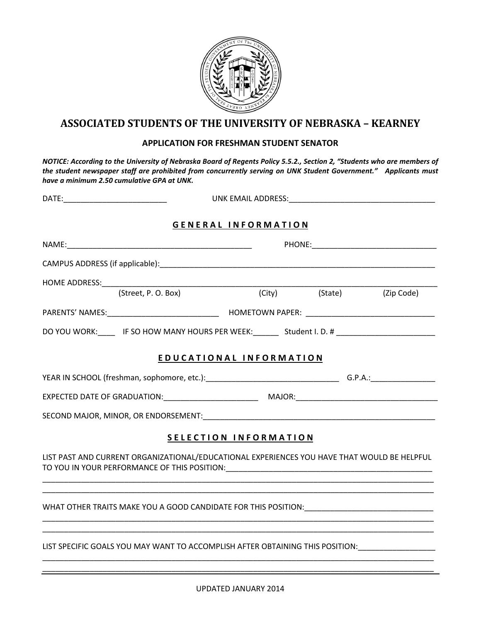

## **ASSOCIATED STUDENTS OF THE UNIVERSITY OF NEBRASKA – KEARNEY**

## **APPLICATION FOR FRESHMAN STUDENT SENATOR**

*NOTICE: According to the University of Nebraska Board of Regents Policy 5.5.2., Section 2, "Students who are members of the student newspaper staff are prohibited from concurrently serving on UNK Student Government." Applicants must have a minimum 2.50 cumulative GPA at UNK.* 

|  |                                                                                                                | UNK EMAIL ADDRESS: WARD TO A THE STATE OF THE STATE OF THE STATE OF THE STATE OF THE STATE OF THE STATE OF THE |                           |  |  |
|--|----------------------------------------------------------------------------------------------------------------|----------------------------------------------------------------------------------------------------------------|---------------------------|--|--|
|  |                                                                                                                | <b>GENERAL INFORMATION</b>                                                                                     |                           |  |  |
|  |                                                                                                                |                                                                                                                |                           |  |  |
|  |                                                                                                                |                                                                                                                |                           |  |  |
|  |                                                                                                                |                                                                                                                |                           |  |  |
|  |                                                                                                                |                                                                                                                | (City) (State) (Zip Code) |  |  |
|  |                                                                                                                |                                                                                                                |                           |  |  |
|  | DO YOU WORK: IF SO HOW MANY HOURS PER WEEK: Student I.D. # _____________________                               |                                                                                                                |                           |  |  |
|  | EDUCATIONAL INFORMATION                                                                                        |                                                                                                                |                           |  |  |
|  |                                                                                                                |                                                                                                                |                           |  |  |
|  |                                                                                                                |                                                                                                                |                           |  |  |
|  |                                                                                                                |                                                                                                                |                           |  |  |
|  |                                                                                                                | <b>SELECTION INFORMATION</b>                                                                                   |                           |  |  |
|  | LIST PAST AND CURRENT ORGANIZATIONAL/EDUCATIONAL EXPERIENCES YOU HAVE THAT WOULD BE HELPFUL                    |                                                                                                                |                           |  |  |
|  | WHAT OTHER TRAITS MAKE YOU A GOOD CANDIDATE FOR THIS POSITION: USINGLEAD CONTROL CONTROL CONTROL CONTROL CONTR |                                                                                                                |                           |  |  |
|  | LIST SPECIFIC GOALS YOU MAY WANT TO ACCOMPLISH AFTER OBTAINING THIS POSITION: _____________________            |                                                                                                                |                           |  |  |
|  |                                                                                                                |                                                                                                                |                           |  |  |